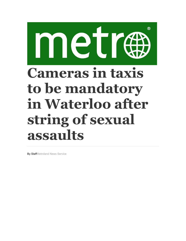## $^{\circledR}$ metr **Cameras in taxis to be mandatory in Waterloo after string of sexual assaults**

By StaffMetroland News Service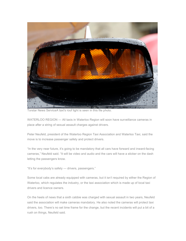

Torstar News ServiceA taxi's roof light is seen in this file photo.

WATERLOO REGION — All taxis in Waterloo Region will soon have surveillance cameras in place after a string of sexual assault charges against drivers.

Peter Neufeld, president of the Waterloo Region Taxi Association and Waterloo Taxi, said the move is to increase passenger safety and protect drivers.

"In the very near future, it's going to be mandatory that all cars have forward and inward-facing cameras," Neufeld said. "It will be video and audio and the cars will have a sticker on the dash letting the passengers know.

"It's for everybody's safety — drivers, passengers."

Some local cabs are already equipped with cameras, but it isn't required by either the Region of Waterloo, which regulates the industry, or the taxi association which is made up of local taxi drivers and licence owners.

On the heels of news that a sixth cabbie was charged with sexual assault in two years, Neufeld said the association will make cameras mandatory. He also noted the cameras will protect taxi drivers, too. There's no set time frame for the change, but the recent incidents will put a bit of a rush on things, Neufeld said.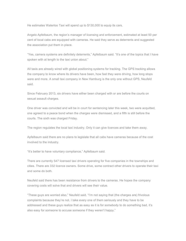He estimates Waterloo Taxi will spend up to \$130,000 to equip its cars.

Angelo Apfelbaum, the region's manager of licensing and enforcement, estimated at least 50 per cent of local cabs are equipped with cameras. He said they serve as deterrents and suggested the association put them in place.

"Yes, camera systems are definitely deterrents," Apfelbaum said. "It's one of the topics that I have spoken with at length to the taxi union about."

All taxis are already wired with global positioning systems for tracking. The GPS tracking allows the company to know where its drivers have been, how fast they were driving, how long stops were and more. A small taxi company in New Hamburg is the only one without GPS, Neufeld said.

Since February 2013, six drivers have either been charged with or are before the courts on sexual assault charges.

One driver was convicted and will be in court for sentencing later this week, two were acquitted, one agreed to a peace bond when the charges were dismissed, and a fifth is still before the courts. The sixth was charged Friday.

The region regulates the local taxi industry. Only it can give licences and take them away.

Apfelbaum said there are no plans to legislate that all cabs have cameras because of the cost involved to the industry.

"It's better to have voluntary compliance," Apfelbaum said.

There are currently 547 licensed taxi drivers operating for five companies in the townships and cities. There are 332 licence owners. Some drive, some contract other drivers to operate their taxi and some do both.

Neufeld said there has been resistance from drivers to the cameras. He hopes the company covering costs will solve that and drivers will see their value.

"These guys are worried also," Neufeld said. "I'm not saying that (the charges are) frivolous complaints because they're not. I take every one of them seriously and they have to be addressed and these guys realize that as easy as it is for somebody to do something bad, it's also easy for someone to accuse someone if they weren't happy."